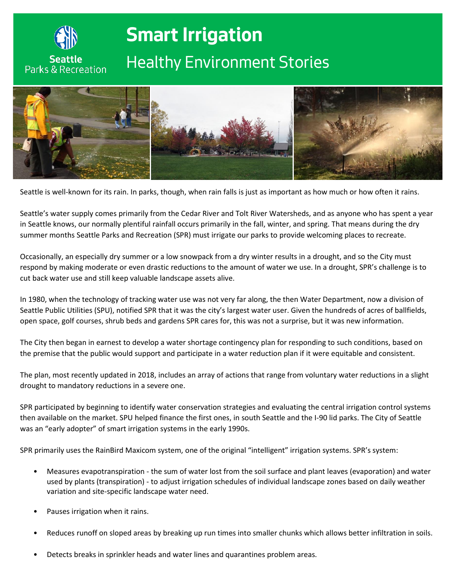

**Seattle Parks & Recreation** 

# **Smart Irrigation**

# *Healthy Environment Stories*



Seattle is well-known for its rain. In parks, though, when rain falls is just as important as how much or how often it rains.

Seattle's water supply comes primarily from the Cedar River and Tolt River Watersheds, and as anyone who has spent a year in Seattle knows, our normally plentiful rainfall occurs primarily in the fall, winter, and spring. That means during the dry summer months Seattle Parks and Recreation (SPR) must irrigate our parks to provide welcoming places to recreate.

Occasionally, an especially dry summer or a low snowpack from a dry winter results in a drought, and so the City must respond by making moderate or even drastic reductions to the amount of water we use. In a drought, SPR's challenge is to cut back water use and still keep valuable landscape assets alive.

In 1980, when the technology of tracking water use was not very far along, the then Water Department, now a division of Seattle Public Utilities (SPU), notified SPR that it was the city's largest water user. Given the hundreds of acres of ballfields, open space, golf courses, shrub beds and gardens SPR cares for, this was not a surprise, but it was new information.

The City then began in earnest to develop a water shortage contingency plan for responding to such conditions, based on the premise that the public would support and participate in a water reduction plan if it were equitable and consistent.

The plan, most recently updated in 2018, includes an array of actions that range from voluntary water reductions in a slight drought to mandatory reductions in a severe one.

SPR participated by beginning to identify water conservation strategies and evaluating the central irrigation control systems then available on the market. SPU helped finance the first ones, in south Seattle and the I-90 lid parks. The City of Seattle was an "early adopter" of smart irrigation systems in the early 1990s.

SPR primarily uses the RainBird Maxicom system, one of the original "intelligent" irrigation systems. SPR's system:

- Measures evapotranspiration the sum of water lost from the soil surface and plant leaves (evaporation) and water used by plants (transpiration) - to adjust irrigation schedules of individual landscape zones based on daily weather variation and site-specific landscape water need.
- Pauses irrigation when it rains.
- Reduces runoff on sloped areas by breaking up run times into smaller chunks which allows better infiltration in soils.
- Detects breaks in sprinkler heads and water lines and quarantines problem areas.